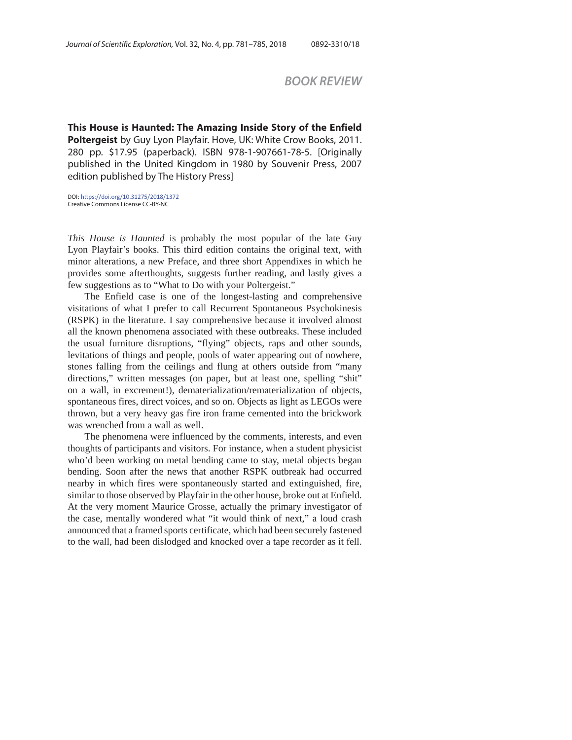## *BOOK REVIEW*

**This House is Haunted: The Amazing Inside Story of the Enfield Poltergeist** by Guy Lyon Playfair. Hove, UK: White Crow Books, 2011. 280 pp. \$17.95 (paperback). ISBN 978-1-907661-78-5. [Originally published in the United Kingdom in 1980 by Souvenir Press, 2007 edition published by The History Press]

DOI: https://doi.org/10.31275/2018/1372 Creative Commons License CC-BY-NC

*This House is Haunted* is probably the most popular of the late Guy Lyon Playfair's books. This third edition contains the original text, with minor alterations, a new Preface, and three short Appendixes in which he provides some afterthoughts, suggests further reading, and lastly gives a few suggestions as to "What to Do with your Poltergeist."

The Enfield case is one of the longest-lasting and comprehensive visitations of what I prefer to call Recurrent Spontaneous Psychokinesis (RSPK) in the literature. I say comprehensive because it involved almost all the known phenomena associated with these outbreaks. These included the usual furniture disruptions, "flying" objects, raps and other sounds, levitations of things and people, pools of water appearing out of nowhere, stones falling from the ceilings and flung at others outside from "many directions," written messages (on paper, but at least one, spelling "shit" on a wall, in excrement!), dematerialization/rematerialization of objects, spontaneous fires, direct voices, and so on. Objects as light as LEGOs were thrown, but a very heavy gas fire iron frame cemented into the brickwork was wrenched from a wall as well.

The phenomena were influenced by the comments, interests, and even thoughts of participants and visitors. For instance, when a student physicist who'd been working on metal bending came to stay, metal objects began bending. Soon after the news that another RSPK outbreak had occurred nearby in which fires were spontaneously started and extinguished, fire, similar to those observed by Playfair in the other house, broke out at Enfield. At the very moment Maurice Grosse, actually the primary investigator of the case, mentally wondered what "it would think of next," a loud crash announced that a framed sports certificate, which had been securely fastened to the wall, had been dislodged and knocked over a tape recorder as it fell.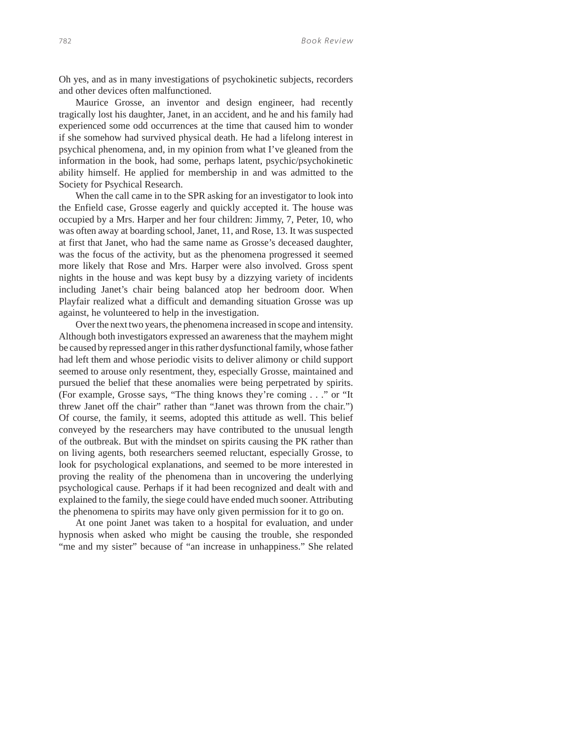Oh yes, and as in many investigations of psychokinetic subjects, recorders and other devices often malfunctioned.

Maurice Grosse, an inventor and design engineer, had recently tragically lost his daughter, Janet, in an accident, and he and his family had experienced some odd occurrences at the time that caused him to wonder if she somehow had survived physical death. He had a lifelong interest in psychical phenomena, and, in my opinion from what I've gleaned from the information in the book, had some, perhaps latent, psychic/psychokinetic ability himself. He applied for membership in and was admitted to the Society for Psychical Research.

When the call came in to the SPR asking for an investigator to look into the Enfield case, Grosse eagerly and quickly accepted it. The house was occupied by a Mrs. Harper and her four children: Jimmy, 7, Peter, 10, who was often away at boarding school, Janet, 11, and Rose, 13. It was suspected at first that Janet, who had the same name as Grosse's deceased daughter, was the focus of the activity, but as the phenomena progressed it seemed more likely that Rose and Mrs. Harper were also involved. Gross spent nights in the house and was kept busy by a dizzying variety of incidents including Janet's chair being balanced atop her bedroom door. When Playfair realized what a difficult and demanding situation Grosse was up against, he volunteered to help in the investigation.

Over the next two years, the phenomena increased in scope and intensity. Although both investigators expressed an awareness that the mayhem might be caused by repressed anger in this rather dysfunctional family, whose father had left them and whose periodic visits to deliver alimony or child support seemed to arouse only resentment, they, especially Grosse, maintained and pursued the belief that these anomalies were being perpetrated by spirits. (For example, Grosse says, "The thing knows they're coming . . ." or "It threw Janet off the chair" rather than "Janet was thrown from the chair.") Of course, the family, it seems, adopted this attitude as well. This belief conveyed by the researchers may have contributed to the unusual length of the outbreak. But with the mindset on spirits causing the PK rather than on living agents, both researchers seemed reluctant, especially Grosse, to look for psychological explanations, and seemed to be more interested in proving the reality of the phenomena than in uncovering the underlying psychological cause. Perhaps if it had been recognized and dealt with and explained to the family, the siege could have ended much sooner. Attributing the phenomena to spirits may have only given permission for it to go on.

At one point Janet was taken to a hospital for evaluation, and under hypnosis when asked who might be causing the trouble, she responded "me and my sister" because of "an increase in unhappiness." She related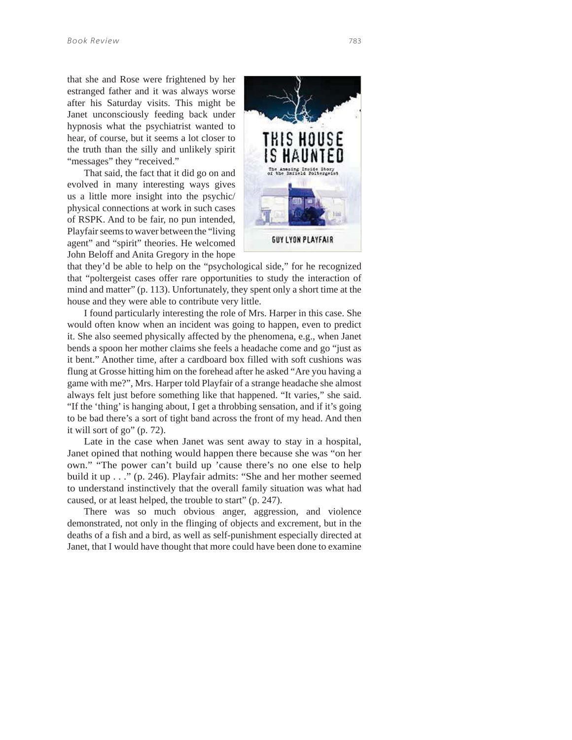that she and Rose were frightened by her estranged father and it was always worse after his Saturday visits. This might be Janet unconsciously feeding back under hypnosis what the psychiatrist wanted to hear, of course, but it seems a lot closer to the truth than the silly and unlikely spirit "messages" they "received."

That said, the fact that it did go on and evolved in many interesting ways gives us a little more insight into the psychic/ physical connections at work in such cases of RSPK. And to be fair, no pun intended, Playfair seems to waver between the "living agent" and "spirit" theories. He welcomed John Beloff and Anita Gregory in the hope



that they'd be able to help on the "psychological side," for he recognized that "poltergeist cases offer rare opportunities to study the interaction of mind and matter" (p. 113). Unfortunately, they spent only a short time at the house and they were able to contribute very little.

I found particularly interesting the role of Mrs. Harper in this case. She would often know when an incident was going to happen, even to predict it. She also seemed physically affected by the phenomena, e.g., when Janet bends a spoon her mother claims she feels a headache come and go "just as it bent." Another time, after a cardboard box filled with soft cushions was flung at Grosse hitting him on the forehead after he asked "Are you having a game with me?", Mrs. Harper told Playfair of a strange headache she almost always felt just before something like that happened. "It varies," she said. "If the 'thing' is hanging about, I get a throbbing sensation, and if it's going to be bad there's a sort of tight band across the front of my head. And then it will sort of go" (p. 72).

Late in the case when Janet was sent away to stay in a hospital, Janet opined that nothing would happen there because she was "on her own." "The power can't build up 'cause there's no one else to help build it up . . ." (p. 246). Playfair admits: "She and her mother seemed to understand instinctively that the overall family situation was what had caused, or at least helped, the trouble to start" (p. 247).

There was so much obvious anger, aggression, and violence demonstrated, not only in the flinging of objects and excrement, but in the deaths of a fish and a bird, as well as self-punishment especially directed at Janet, that I would have thought that more could have been done to examine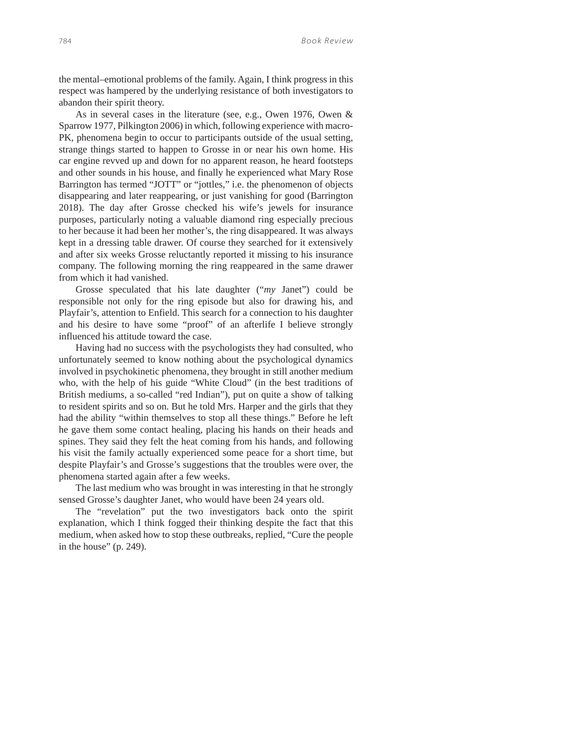the mental–emotional problems of the family. Again, I think progress in this respect was hampered by the underlying resistance of both investigators to abandon their spirit theory.

As in several cases in the literature (see, e.g., Owen 1976, Owen & Sparrow 1977, Pilkington 2006) in which, following experience with macro-PK, phenomena begin to occur to participants outside of the usual setting, strange things started to happen to Grosse in or near his own home. His car engine revved up and down for no apparent reason, he heard footsteps and other sounds in his house, and finally he experienced what Mary Rose Barrington has termed "JOTT" or "jottles," i.e. the phenomenon of objects disappearing and later reappearing, or just vanishing for good (Barrington 2018). The day after Grosse checked his wife's jewels for insurance purposes, particularly noting a valuable diamond ring especially precious to her because it had been her mother's, the ring disappeared. It was always kept in a dressing table drawer. Of course they searched for it extensively and after six weeks Grosse reluctantly reported it missing to his insurance company. The following morning the ring reappeared in the same drawer from which it had vanished.

Grosse speculated that his late daughter ("*my* Janet") could be responsible not only for the ring episode but also for drawing his, and Playfair's, attention to Enfield. This search for a connection to his daughter and his desire to have some "proof" of an afterlife I believe strongly influenced his attitude toward the case.

Having had no success with the psychologists they had consulted, who unfortunately seemed to know nothing about the psychological dynamics involved in psychokinetic phenomena, they brought in still another medium who, with the help of his guide "White Cloud" (in the best traditions of British mediums, a so-called "red Indian"), put on quite a show of talking to resident spirits and so on. But he told Mrs. Harper and the girls that they had the ability "within themselves to stop all these things." Before he left he gave them some contact healing, placing his hands on their heads and spines. They said they felt the heat coming from his hands, and following his visit the family actually experienced some peace for a short time, but despite Playfair's and Grosse's suggestions that the troubles were over, the phenomena started again after a few weeks.

The last medium who was brought in was interesting in that he strongly sensed Grosse's daughter Janet, who would have been 24 years old.

The "revelation" put the two investigators back onto the spirit explanation, which I think fogged their thinking despite the fact that this medium, when asked how to stop these outbreaks, replied, "Cure the people in the house" (p. 249).